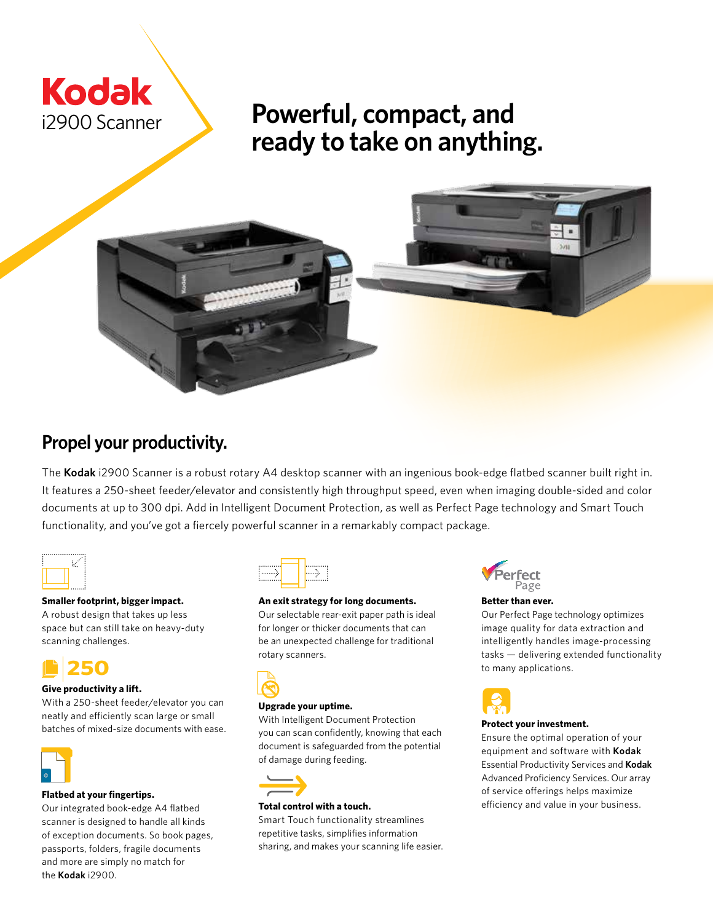

# **Powerful, compact, and ready to take on anything.**



## **Propel your productivity.**

The **Kodak** i2900 Scanner is a robust rotary A4 desktop scanner with an ingenious book-edge flatbed scanner built right in. It features a 250-sheet feeder/elevator and consistently high throughput speed, even when imaging double-sided and color documents at up to 300 dpi. Add in Intelligent Document Protection, as well as Perfect Page technology and Smart Touch functionality, and you've got a fiercely powerful scanner in a remarkably compact package.

#### **Smaller footprint, bigger impact.**

A robust design that takes up less space but can still take on heavy-duty scanning challenges.

## **250**

#### **Give productivity a lift.**

With a 250-sheet feeder/elevator you can neatly and efficiently scan large or small batches of mixed-size documents with ease.



#### **Flatbed at your fingertips.**

Our integrated book-edge A4 flatbed scanner is designed to handle all kinds of exception documents. So book pages, passports, folders, fragile documents and more are simply no match for the **Kodak** i2900.



#### **An exit strategy for long documents.**

Our selectable rear-exit paper path is ideal for longer or thicker documents that can be an unexpected challenge for traditional rotary scanners.



#### **Upgrade your uptime.**

With Intelligent Document Protection you can scan confidently, knowing that each document is safeguarded from the potential of damage during feeding.



#### **Total control with a touch.**

Smart Touch functionality streamlines repetitive tasks, simplifies information sharing, and makes your scanning life easier.



#### **Better than ever.**

Our Perfect Page technology optimizes image quality for data extraction and intelligently handles image-processing tasks — delivering extended functionality to many applications.



#### **Protect your investment.**

Ensure the optimal operation of your equipment and software with **Kodak** Essential Productivity Services and **Kodak**  Advanced Proficiency Services. Our array of service offerings helps maximize efficiency and value in your business.